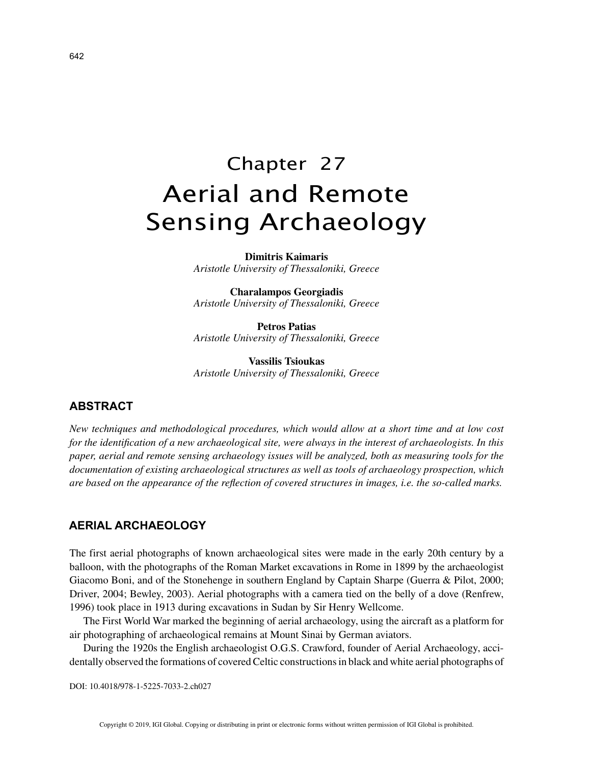# Chapter 27 Aerial and Remote Sensing Archaeology

**Dimitris Kaimaris** *Aristotle University of Thessaloniki, Greece*

**Charalampos Georgiadis** *Aristotle University of Thessaloniki, Greece*

**Petros Patias** *Aristotle University of Thessaloniki, Greece*

**Vassilis Tsioukas** *Aristotle University of Thessaloniki, Greece*

## **ABSTRACT**

*New techniques and methodological procedures, which would allow at a short time and at low cost for the identification of a new archaeological site, were always in the interest of archaeologists. In this paper, aerial and remote sensing archaeology issues will be analyzed, both as measuring tools for the documentation of existing archaeological structures as well as tools of archaeology prospection, which are based on the appearance of the reflection of covered structures in images, i.e. the so-called marks.*

## **AERIAL ARCHAEOLOGY**

The first aerial photographs of known archaeological sites were made in the early 20th century by a balloon, with the photographs of the Roman Market excavations in Rome in 1899 by the archaeologist Giacomo Boni, and of the Stonehenge in southern England by Captain Sharpe (Guerra & Pilot, 2000; Driver, 2004; Bewley, 2003). Aerial photographs with a camera tied on the belly of a dove (Renfrew, 1996) took place in 1913 during excavations in Sudan by Sir Henry Wellcome.

The First World War marked the beginning of aerial archaeology, using the aircraft as a platform for air photographing of archaeological remains at Mount Sinai by German aviators.

During the 1920s the English archaeologist O.G.S. Crawford, founder of Aerial Archaeology, accidentally observed the formations of covered Celtic constructions in black and white aerial photographs of

DOI: 10.4018/978-1-5225-7033-2.ch027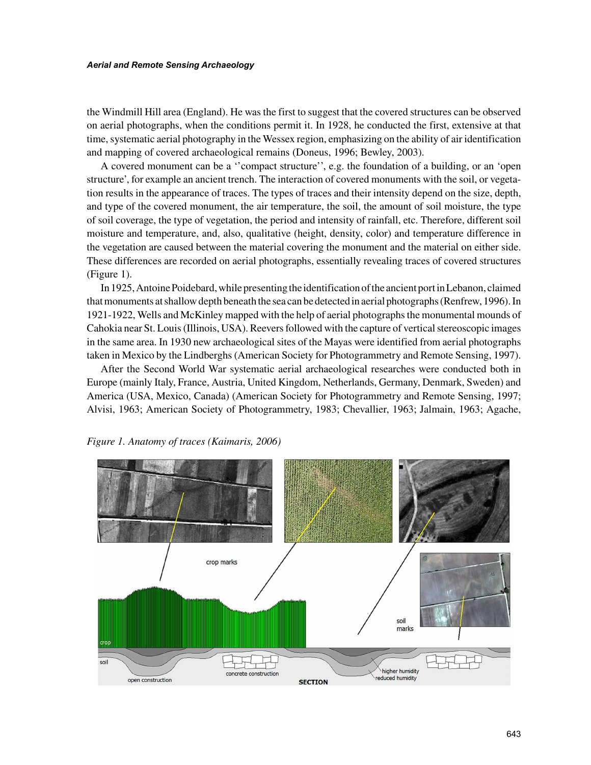#### *Aerial and Remote Sensing Archaeology*

the Windmill Hill area (England). He was the first to suggest that the covered structures can be observed on aerial photographs, when the conditions permit it. In 1928, he conducted the first, extensive at that time, systematic aerial photography in the Wessex region, emphasizing on the ability of air identification and mapping of covered archaeological remains (Doneus, 1996; Bewley, 2003).

A covered monument can be a ''compact structure'', e.g. the foundation of a building, or an 'open structure', for example an ancient trench. The interaction of covered monuments with the soil, or vegetation results in the appearance of traces. The types of traces and their intensity depend on the size, depth, and type of the covered monument, the air temperature, the soil, the amount of soil moisture, the type of soil coverage, the type of vegetation, the period and intensity of rainfall, etc. Therefore, different soil moisture and temperature, and, also, qualitative (height, density, color) and temperature difference in the vegetation are caused between the material covering the monument and the material on either side. These differences are recorded on aerial photographs, essentially revealing traces of covered structures (Figure 1).

In 1925, Antoine Poidebard, while presenting the identification of the ancient port in Lebanon, claimed that monuments at shallow depth beneath the sea can be detected in aerial photographs (Renfrew, 1996). In 1921-1922, Wells and McKinley mapped with the help of aerial photographs the monumental mounds of Cahokia near St. Louis (Illinois, USA). Reevers followed with the capture of vertical stereoscopic images in the same area. In 1930 new archaeological sites of the Mayas were identified from aerial photographs taken in Mexico by the Lindberghs (American Society for Photogrammetry and Remote Sensing, 1997).

After the Second World War systematic aerial archaeological researches were conducted both in Europe (mainly Italy, France, Austria, United Kingdom, Netherlands, Germany, Denmark, Sweden) and America (USA, Mexico, Canada) (American Society for Photogrammetry and Remote Sensing, 1997; Alvisi, 1963; American Society of Photogrammetry, 1983; Chevallier, 1963; Jalmain, 1963; Agache,



*Figure 1. Anatomy of traces (Kaimaris, 2006)*